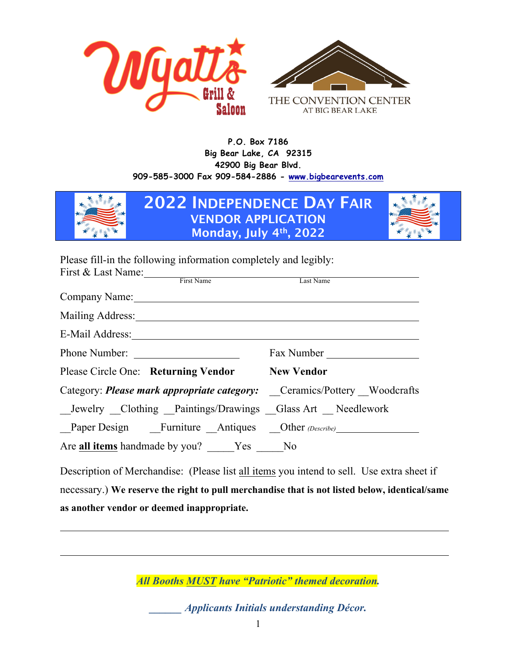

**P.O. Box 7186 Big Bear Lake, CA 92315 42900 Big Bear Blvd. 909-585-3000 Fax 909-584-2886 - www.bigbearevents.com**



**2022 INDEPENDENCE DAY FAIR VENDOR APPLICATION Monday, July 4th, 2022**



Please fill-in the following information completely and legibly:

| First & Last Name: First Name                                                                                  |  | Last Name  |  |
|----------------------------------------------------------------------------------------------------------------|--|------------|--|
| Company Name:                                                                                                  |  |            |  |
| Mailing Address: 1988 and 1989 and 1989 and 1989 and 1989 and 1989 and 1989 and 1989 and 1989 and 1989 and 198 |  |            |  |
| E-Mail Address:                                                                                                |  |            |  |
| Phone Number:                                                                                                  |  | Fax Number |  |
| Please Circle One: Returning Vendor New Vendor                                                                 |  |            |  |
| Category: <i>Please mark appropriate category:</i> Ceramics/Pottery Woodcrafts                                 |  |            |  |
| Jewelry Clothing Paintings/Drawings Glass Art Needlework                                                       |  |            |  |
| Paper Design Furniture Antiques Other (Describe)                                                               |  |            |  |
| Are all items handmade by you? Yes No                                                                          |  |            |  |
|                                                                                                                |  |            |  |

Description of Merchandise: (Please list all items you intend to sell. Use extra sheet if necessary.) **We reserve the right to pull merchandise that is not listed below, identical/same as another vendor or deemed inappropriate.** 

*All Booths MUST have "Patriotic" themed decoration.*

*\_\_\_\_\_\_ Applicants Initials understanding Décor.*